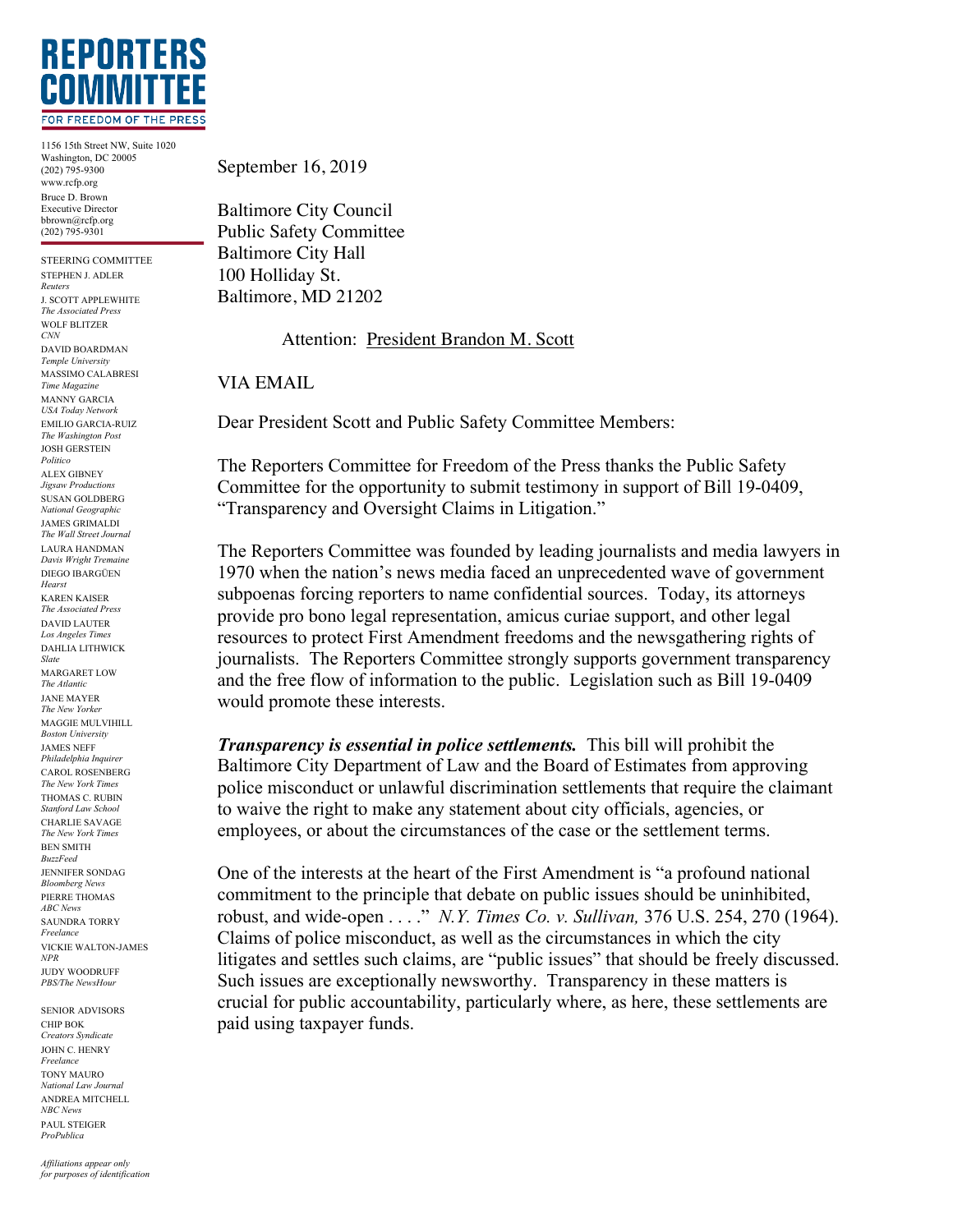

1156 15th Street NW, Suite 1020 Washington, DC 20005 (202) 795-9300 www.rcfp.org Bruce D. Brown Executive Director bbrown@rcfp.org (202) 795-9301

STEERING COMMITTEE STEPHEN J. ADLER *Reuters* J. SCOTT APPLEWHITE *The Associated Press* WOLF BLITZER *CNN* DAVID BOARDMAN *Temple University* MASSIMO CALABRESI *Time Magazine* MANNY GARCIA *USA Today Network* EMILIO GARCIA-RUIZ *The Washington Post* JOSH GERSTEIN *Politico* ALEX GIBNEY *Jigsaw Productions* SUSAN GOLDBERG *National Geographic* JAMES GRIMALDI *The Wall Street Journal* LAURA HANDMAN *Davis Wright Tremaine* DIEGO IBARGÜEN *Hearst* KAREN KAISER *The Associated Press* DAVID LAUTER *Los Angeles Times* DAHLIA LITHWICK *Slate* MARGARET LOW *The Atlantic* JANE MAYER *The New Yorker* MAGGIE MULVIHILL *Boston University* JAMES NEFF *Philadelphia Inquirer* CAROL ROSENBERG *The New York Times* THOMAS C. RUBIN *Stanford Law School* CHARLIE SAVAGE *The New York Times* BEN SMITH *BuzzFeed* JENNIFER SONDAG *Bloomberg News* PIERRE THOMAS *ABC News* SAUNDRA TORRY *Freelance* VICKIE WALTON-JAMES *NPR* JUDY WOODRUFF *PBS/The NewsHour*

SENIOR ADVISORS CHIP BOK *Creators Syndicate* JOHN C. HENRY *Freelance* TONY MAURO *National Law Journal* ANDREA MITCHELL *NBC News* PAUL STEIGER *ProPublica*

September 16, 2019

Baltimore City Council Public Safety Committee Baltimore City Hall 100 Holliday St. Baltimore, MD 21202

Attention: President Brandon M. Scott

VIA EMAIL

Dear President Scott and Public Safety Committee Members:

The Reporters Committee for Freedom of the Press thanks the Public Safety Committee for the opportunity to submit testimony in support of Bill 19-0409, "Transparency and Oversight Claims in Litigation."

The Reporters Committee was founded by leading journalists and media lawyers in 1970 when the nation's news media faced an unprecedented wave of government subpoenas forcing reporters to name confidential sources. Today, its attorneys provide pro bono legal representation, amicus curiae support, and other legal resources to protect First Amendment freedoms and the newsgathering rights of journalists. The Reporters Committee strongly supports government transparency and the free flow of information to the public. Legislation such as Bill 19-0409 would promote these interests.

*Transparency is essential in police settlements.* This bill will prohibit the Baltimore City Department of Law and the Board of Estimates from approving police misconduct or unlawful discrimination settlements that require the claimant to waive the right to make any statement about city officials, agencies, or employees, or about the circumstances of the case or the settlement terms.

One of the interests at the heart of the First Amendment is "a profound national commitment to the principle that debate on public issues should be uninhibited, robust, and wide-open . . . ." *N.Y. Times Co. v. Sullivan,* 376 U.S. 254, 270 (1964). Claims of police misconduct, as well as the circumstances in which the city litigates and settles such claims, are "public issues" that should be freely discussed. Such issues are exceptionally newsworthy. Transparency in these matters is crucial for public accountability, particularly where, as here, these settlements are paid using taxpayer funds.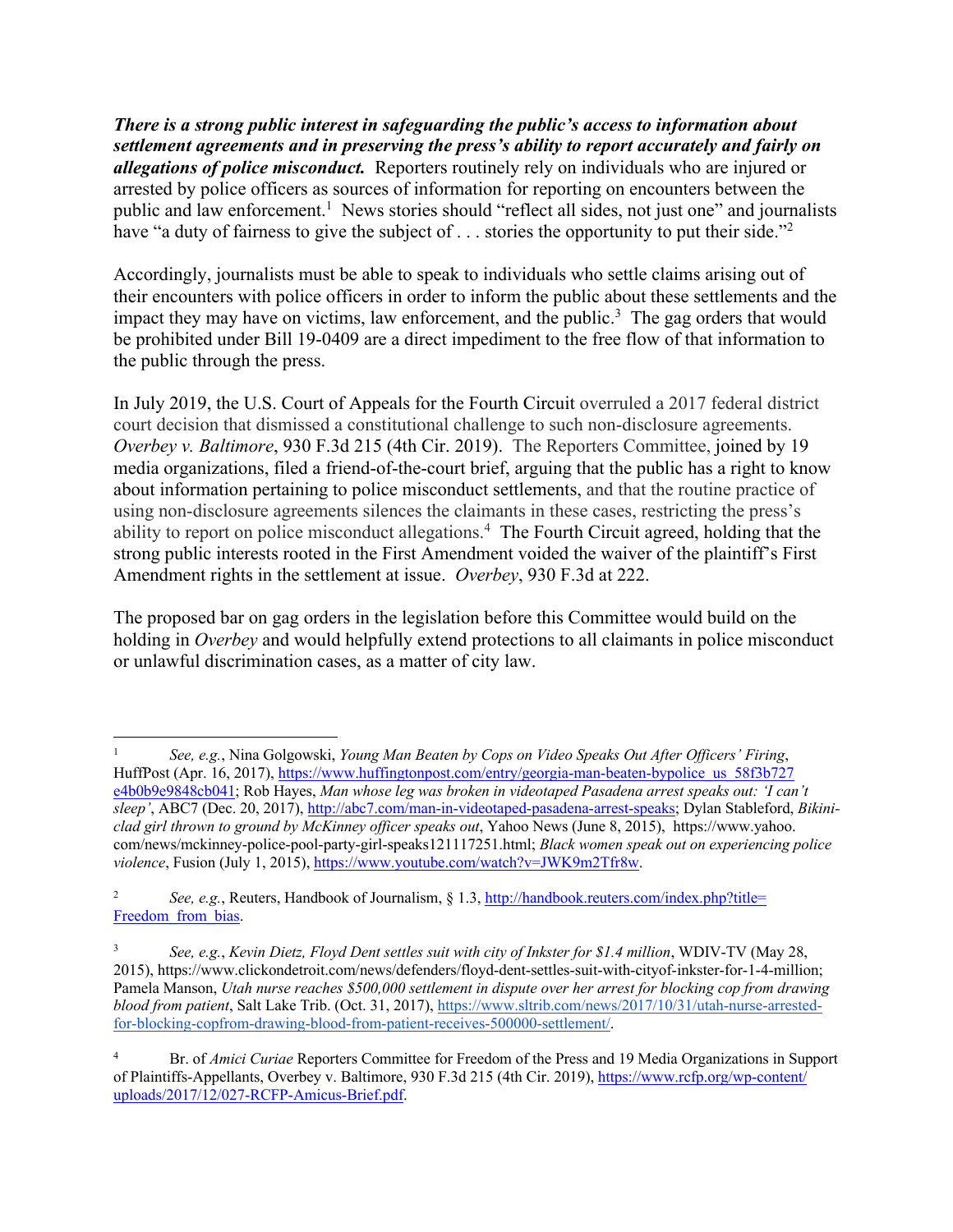*There is a strong public interest in safeguarding the public's access to information about settlement agreements and in preserving the press's ability to report accurately and fairly on allegations of police misconduct.* Reporters routinely rely on individuals who are injured or arrested by police officers as sources of information for reporting on encounters between the public and law enforcement.<sup>1</sup> News stories should "reflect all sides, not just one" and journalists have "a duty of fairness to give the subject of  $\dots$  stories the opportunity to put their side."<sup>2</sup>

Accordingly, journalists must be able to speak to individuals who settle claims arising out of their encounters with police officers in order to inform the public about these settlements and the impact they may have on victims, law enforcement, and the public.<sup>3</sup> The gag orders that would be prohibited under Bill 19-0409 are a direct impediment to the free flow of that information to the public through the press.

In July 2019, the U.S. Court of Appeals for the Fourth Circuit overruled a 2017 federal district court decision that dismissed a constitutional challenge to such non-disclosure agreements. *Overbey v. Baltimore*, 930 F.3d 215 (4th Cir. 2019). The Reporters Committee, joined by 19 media organizations, filed a friend-of-the-court brief, arguing that the public has a right to know about information pertaining to police misconduct settlements, and that the routine practice of using non-disclosure agreements silences the claimants in these cases, restricting the press's ability to report on police misconduct allegations.<sup>4</sup> The Fourth Circuit agreed, holding that the strong public interests rooted in the First Amendment voided the waiver of the plaintiff's First Amendment rights in the settlement at issue. *Overbey*, 930 F.3d at 222.

The proposed bar on gag orders in the legislation before this Committee would build on the holding in *Overbey* and would helpfully extend protections to all claimants in police misconduct or unlawful discrimination cases, as a matter of city law.

<sup>1</sup> *See, e.g.*, Nina Golgowski, *Young Man Beaten by Cops on Video Speaks Out After Officers' Firing*, HuffPost (Apr. 16, 2017), https://www.huffingtonpost.com/entry/georgia-man-beaten-bypolice\_us\_58f3b727 e4b0b9e9848cb041; Rob Hayes, *Man whose leg was broken in videotaped Pasadena arrest speaks out: 'I can't sleep'*, ABC7 (Dec. 20, 2017), http://abc7.com/man-in-videotaped-pasadena-arrest-speaks; Dylan Stableford, *Bikiniclad girl thrown to ground by McKinney officer speaks out*, Yahoo News (June 8, 2015), https://www.yahoo. com/news/mckinney-police-pool-party-girl-speaks121117251.html; *Black women speak out on experiencing police violence*, Fusion (July 1, 2015), https://www.youtube.com/watch?v=JWK9m2Tfr8w.

See, e.g., Reuters, Handbook of Journalism, § 1.3, http://handbook.reuters.com/index.php?title= Freedom from bias.

<sup>3</sup> *See, e.g.*, *Kevin Dietz, Floyd Dent settles suit with city of Inkster for \$1.4 million*, WDIV-TV (May 28, 2015), https://www.clickondetroit.com/news/defenders/floyd-dent-settles-suit-with-cityof-inkster-for-1-4-million; Pamela Manson, *Utah nurse reaches \$500,000 settlement in dispute over her arrest for blocking cop from drawing blood from patient*, Salt Lake Trib. (Oct. 31, 2017), https://www.sltrib.com/news/2017/10/31/utah-nurse-arrestedfor-blocking-copfrom-drawing-blood-from-patient-receives-500000-settlement/.

<sup>4</sup> Br. of *Amici Curiae* Reporters Committee for Freedom of the Press and 19 Media Organizations in Support of Plaintiffs-Appellants, Overbey v. Baltimore, 930 F.3d 215 (4th Cir. 2019), https://www.rcfp.org/wp-content/ uploads/2017/12/027-RCFP-Amicus-Brief.pdf.